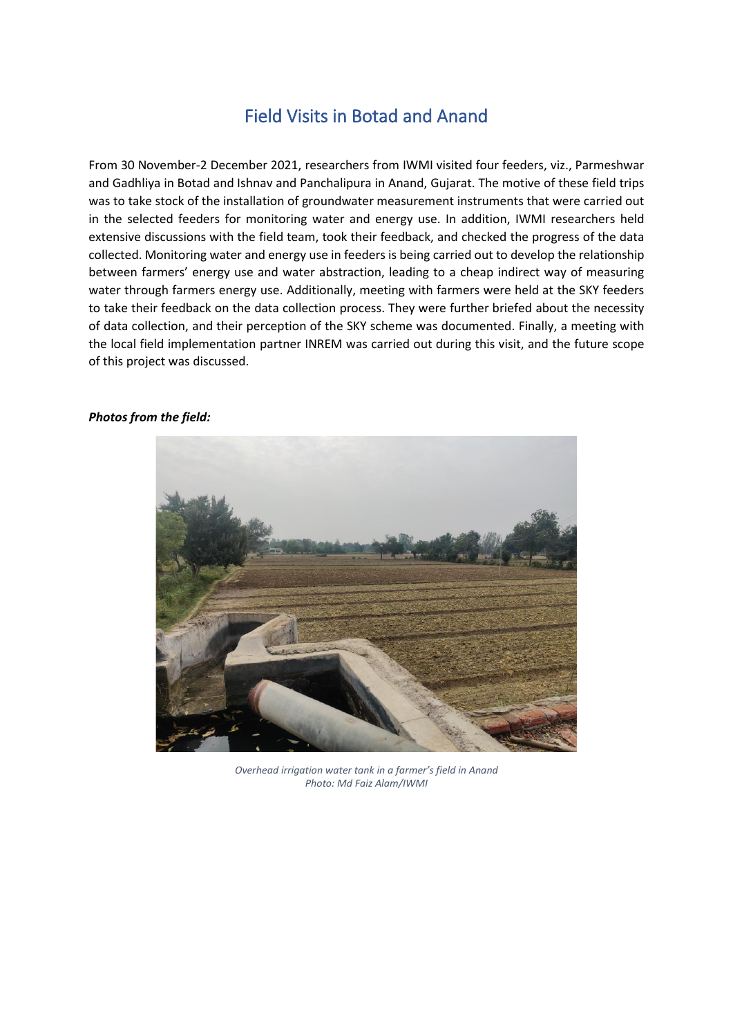## Field Visits in Botad and Anand

From 30 November-2 December 2021, researchers from IWMI visited four feeders, viz., Parmeshwar and Gadhliya in Botad and Ishnav and Panchalipura in Anand, Gujarat. The motive of these field trips was to take stock of the installation of groundwater measurement instruments that were carried out in the selected feeders for monitoring water and energy use. In addition, IWMI researchers held extensive discussions with the field team, took their feedback, and checked the progress of the data collected. Monitoring water and energy use in feeders is being carried out to develop the relationship between farmers' energy use and water abstraction, leading to a cheap indirect way of measuring water through farmers energy use. Additionally, meeting with farmers were held at the SKY feeders to take their feedback on the data collection process. They were further briefed about the necessity of data collection, and their perception of the SKY scheme was documented. Finally, a meeting with the local field implementation partner INREM was carried out during this visit, and the future scope of this project was discussed.

## *Photos from the field:*



*Overhead irrigation water tank in a farmer's field in Anand Photo: Md Faiz Alam/IWMI*